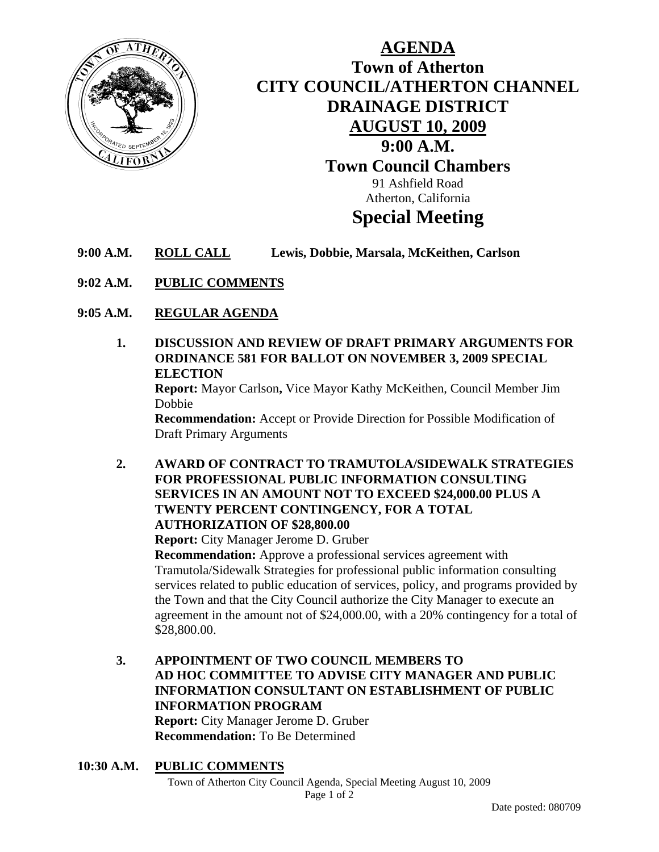

# **AGENDA Town of Atherton CITY COUNCIL/ATHERTON CHANNEL DRAINAGE DISTRICT AUGUST 10, 2009 9:00 A.M. Town Council Chambers**  91 Ashfield Road Atherton, California **Special Meeting**

- **9:00 A.M. ROLL CALL Lewis, Dobbie, Marsala, McKeithen, Carlson**
- **9:02 A.M. PUBLIC COMMENTS**
- **9:05 A.M. REGULAR AGENDA**
	- **1. DISCUSSION AND REVIEW OF DRAFT PRIMARY ARGUMENTS FOR ORDINANCE 581 FOR BALLOT ON NOVEMBER 3, 2009 SPECIAL ELECTION Report:** Mayor Carlson**,** Vice Mayor Kathy McKeithen, Council Member Jim Dobbie **Recommendation:** Accept or Provide Direction for Possible Modification of Draft Primary Arguments
	- **2. AWARD OF CONTRACT TO TRAMUTOLA/SIDEWALK STRATEGIES FOR PROFESSIONAL PUBLIC INFORMATION CONSULTING SERVICES IN AN AMOUNT NOT TO EXCEED \$24,000.00 PLUS A TWENTY PERCENT CONTINGENCY, FOR A TOTAL AUTHORIZATION OF \$28,800.00**

 **Report:** City Manager Jerome D. Gruber

**Recommendation:** Approve a professional services agreement with Tramutola/Sidewalk Strategies for professional public information consulting services related to public education of services, policy, and programs provided by the Town and that the City Council authorize the City Manager to execute an agreement in the amount not of \$24,000.00, with a 20% contingency for a total of \$28,800.00.

- **3. APPOINTMENT OF TWO COUNCIL MEMBERS TO AD HOC COMMITTEE TO ADVISE CITY MANAGER AND PUBLIC INFORMATION CONSULTANT ON ESTABLISHMENT OF PUBLIC INFORMATION PROGRAM Report:** City Manager Jerome D. Gruber **Recommendation:** To Be Determined
- **10:30 A.M. PUBLIC COMMENTS**

Town of Atherton City Council Agenda, Special Meeting August 10, 2009 Page 1 of 2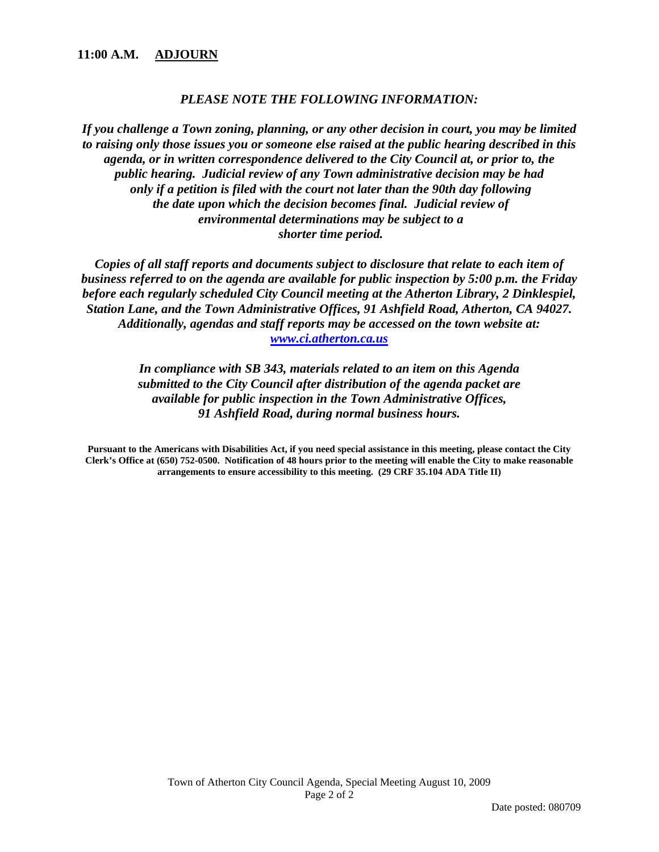### *PLEASE NOTE THE FOLLOWING INFORMATION:*

*If you challenge a Town zoning, planning, or any other decision in court, you may be limited to raising only those issues you or someone else raised at the public hearing described in this agenda, or in written correspondence delivered to the City Council at, or prior to, the public hearing. Judicial review of any Town administrative decision may be had only if a petition is filed with the court not later than the 90th day following the date upon which the decision becomes final. Judicial review of environmental determinations may be subject to a shorter time period.* 

*Copies of all staff reports and documents subject to disclosure that relate to each item of business referred to on the agenda are available for public inspection by 5:00 p.m. the Friday before each regularly scheduled City Council meeting at the Atherton Library, 2 Dinklespiel, Station Lane, and the Town Administrative Offices, 91 Ashfield Road, Atherton, CA 94027. Additionally, agendas and staff reports may be accessed on the town website at: www.ci.atherton.ca.us* 

> *In compliance with SB 343, materials related to an item on this Agenda submitted to the City Council after distribution of the agenda packet are available for public inspection in the Town Administrative Offices, 91 Ashfield Road, during normal business hours.*

**Pursuant to the Americans with Disabilities Act, if you need special assistance in this meeting, please contact the City Clerk's Office at (650) 752-0500. Notification of 48 hours prior to the meeting will enable the City to make reasonable arrangements to ensure accessibility to this meeting. (29 CRF 35.104 ADA Title II)**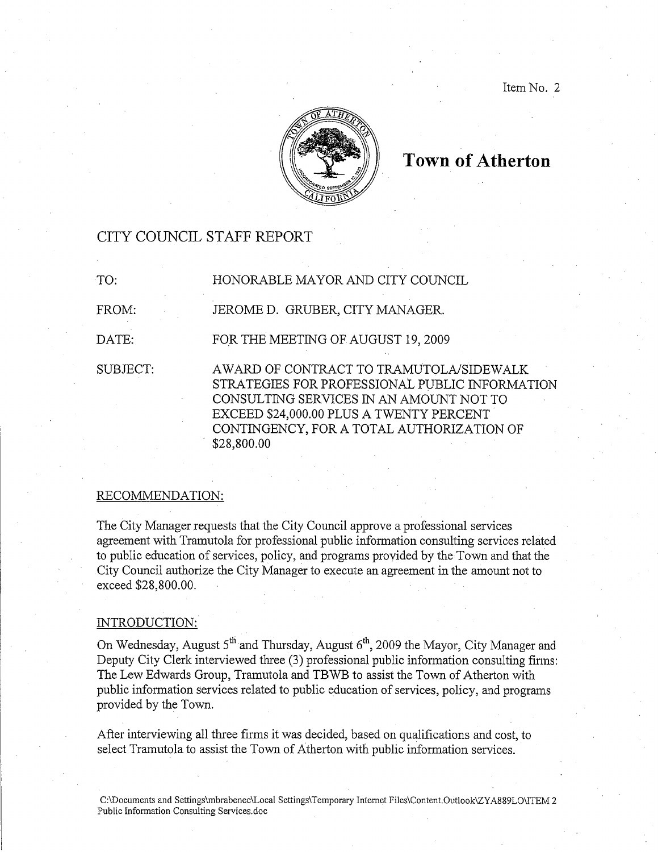Item No. 2



# **Town of Atherton**

# CITY COUNCIL STAFF REPORT

| TO:      | HONORABLE MAYOR AND CITY COUNCIL                                                                                                                                                                                                             |
|----------|----------------------------------------------------------------------------------------------------------------------------------------------------------------------------------------------------------------------------------------------|
| FROM:    | JEROME D. GRUBER, CITY MANAGER.                                                                                                                                                                                                              |
| DATE:    | FOR THE MEETING OF AUGUST 19, 2009                                                                                                                                                                                                           |
| SUBJECT: | AWARD OF CONTRACT TO TRAMUTOLA/SIDEWALK<br>STRATEGIES FOR PROFESSIONAL PUBLIC INFORMATION<br>CONSULTING SERVICES IN AN AMOUNT NOT TO<br>EXCEED \$24,000.00 PLUS A TWENTY PERCENT<br>CONTINGENCY, FOR A TOTAL AUTHORIZATION OF<br>\$28,800.00 |

#### RECOMMENDATION:

The City Manager requests that the City Council approve a professional services agreement with Tramutola for professional public information consulting services related to public education of services, policy, and programs provided by the Town and that the City Council authorize the City Manager to execute an agreement in the amount not to exceed \$28,800.00.

#### INTRODUCTION:

On Wednesday, August 5<sup>th</sup> and Thursday, August 6<sup>th</sup>, 2009 the Mayor, City Manager and Deputy City Clerk interviewed three (3) professional public information consulting firms: The Lew Edwards Group, Tramutola and TBWB to assist the Town of Atherton with public information services related to public education of services, policy, and programs provided by the Town.

After interviewing all three firms it was decided, based on qualifications and cost, to select Tramutola to assist the Town of Atherton with public information services.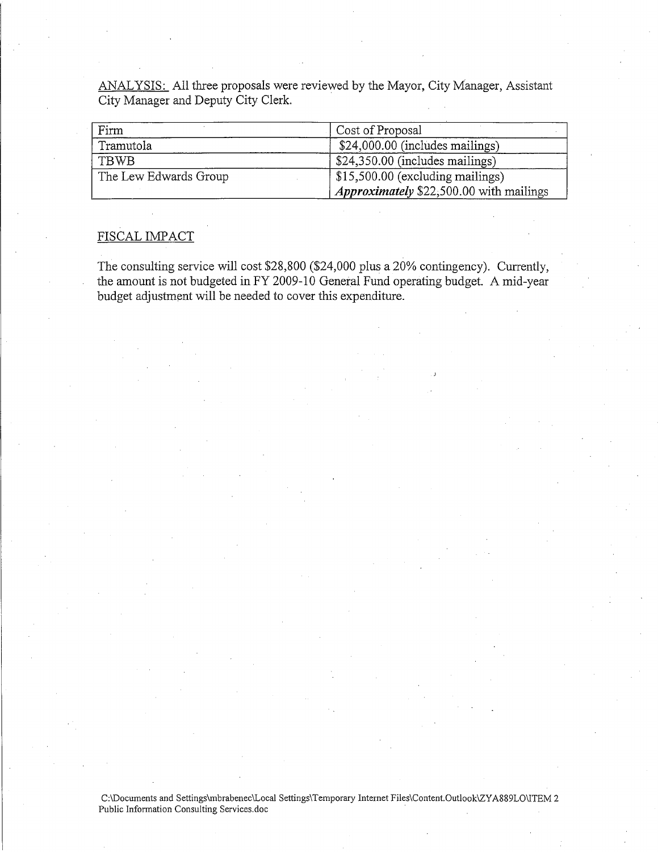ANALYSIS: All three proposals were reviewed by the Mayor, City Manager, Assistant City Manager and Deputy City Clerk.

| Firm                  | Cost of Proposal                               |
|-----------------------|------------------------------------------------|
| Tramutola             | \$24,000.00 (includes mailings)                |
| TBWB                  | \$24,350.00 (includes mailings)                |
| The Lew Edwards Group | $\frac{1}{2}$ \$15,500.00 (excluding mailings) |
|                       | <i>Approximately</i> \$22,500.00 with mailings |

## FISCAL IMPACT

The consulting service will cost \$28,800 (\$24,000 plus a 20% contingency). Currently, the amount is not budgeted in FY 2009-10 General Fund operating budget. A mid-year budget adjustment will be needed to cover this expenditure.

C:\Documents and Settings\mbrabenec\Local Settings\Temporary Internet Files\Content.Outlook\ZYA889LO\ITEM 2 Public Information Consulting Services.doc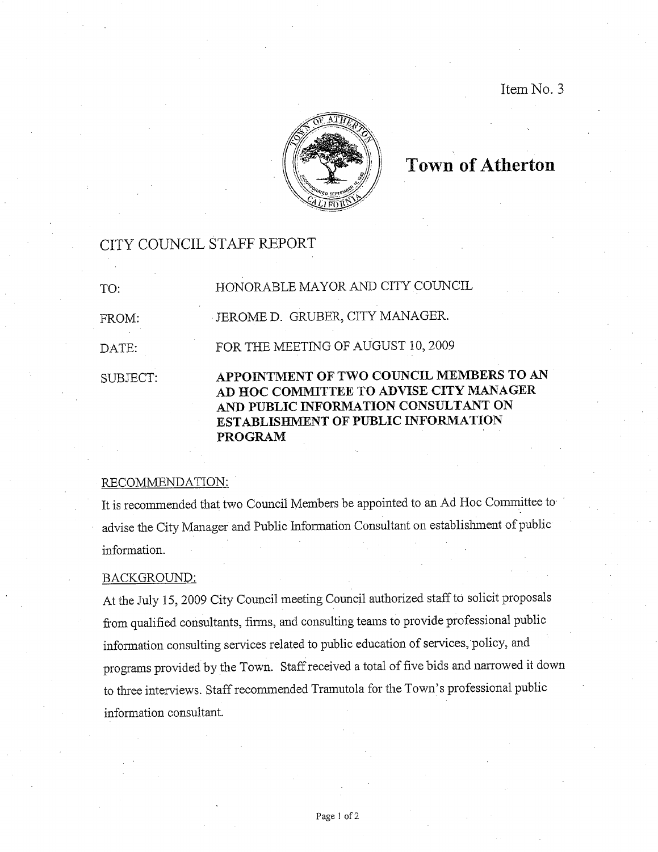Item No. 3



# **Town of Atherton**

## CITY COUNCIL STAFF REPORT

| SUBJECT: | APPOINTMENT OF TWO COUNCIL MEMBERS TO AN<br>AD HOC COMMITTEE TO ADVISE CITY MANAGER<br>AND PUBLIC INFORMATION CONSULTANT ON<br><b>ESTABLISHMENT OF PUBLIC INFORMATION</b><br><b>PROGRAM</b> |
|----------|---------------------------------------------------------------------------------------------------------------------------------------------------------------------------------------------|
| DATE:    | FOR THE MEETING OF AUGUST 10, 2009                                                                                                                                                          |
| FROM:    | JEROME D. GRUBER, CITY MANAGER.                                                                                                                                                             |
| TO:      | HONORABLE MAYOR AND CITY COUNCIL                                                                                                                                                            |

#### RECOMMENDATION:

It is recommended that two Council Members be appointed to an Ad Hoc Committee to advise the City Manager and Public Information Consultant on establishment of public information.

#### BACKGROUND:

At the July 15, 2009 City Council meeting Council authorized staff to solicit proposals from qualified consultants, firms, and consulting teams to provide professional public information consulting services related to public education of services, policy, and programs provided by the Town. Staff received a total of five bids and narrowed it down to three interviews. Staff recommended Tramutola for the Town's professional public information consultant.